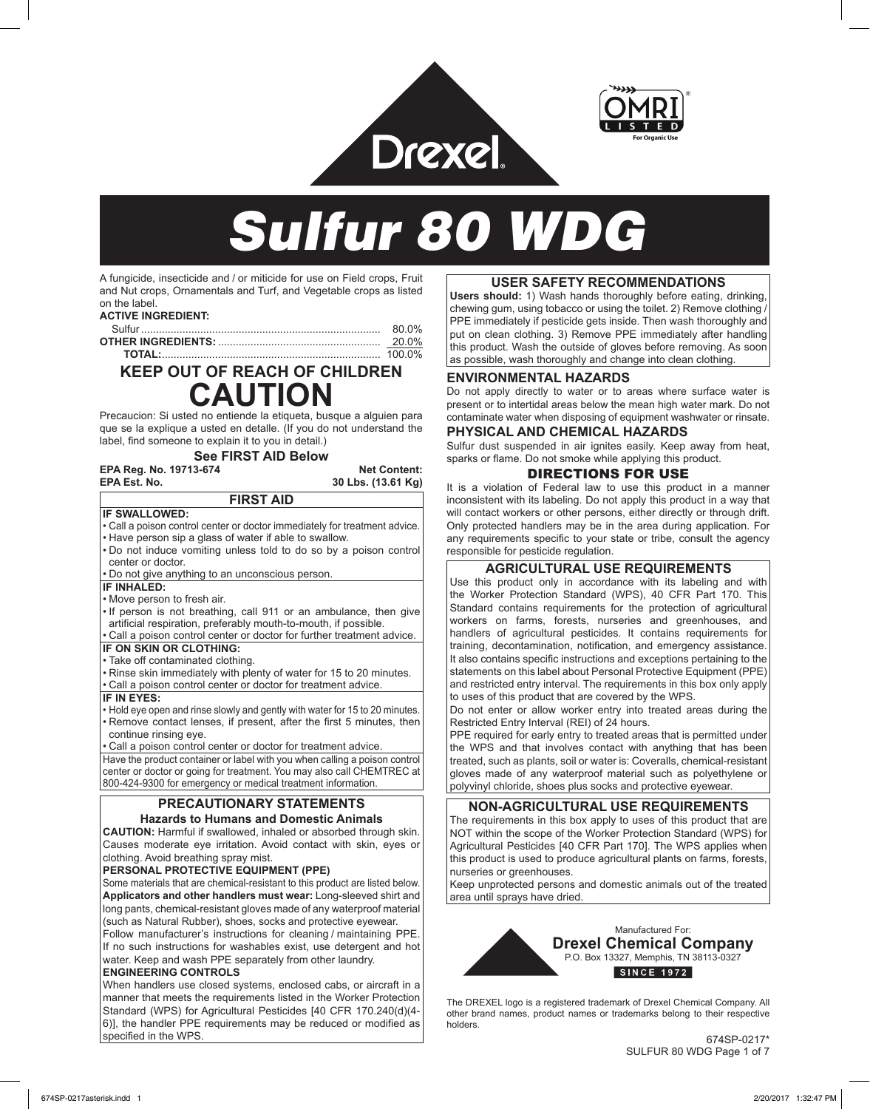



# Drexel.<br>Sulfur 80 WDG

A fungicide, insecticide and / or miticide for use on Field crops, Fruit and Nut crops, Ornamentals and Turf, and Vegetable crops as listed on the label.

| 80.0% |
|-------|
| 20 ዐ% |
|       |

# **KEEP OUT OF REACH OF CHILDREN CAUTION**

Precaucion: Si usted no entiende la etiqueta, busque a alguien para que se la explique a usted en detalle. (If you do not understand the label, find someone to explain it to you in detail.)

### **See FIRST AID Below**

| EPA Reg. No. 19713-674                                                           | <b>Net Content:</b> |
|----------------------------------------------------------------------------------|---------------------|
| EPA Est. No.                                                                     | 30 Lbs. (13.61 Kg)  |
| <b>FIRST AID</b>                                                                 |                     |
| <b>IF SWALLOWED:</b>                                                             |                     |
| $\cdot$ Call a poison control center or doctor immediately for treatment advice. |                     |
| $\cdot$ Have person sip a glass of water if able to swallow.                     |                     |
| $\cdot$ Do not induce vomiting unless told to do so by a poison control          |                     |
| center or doctor.                                                                |                     |
| $\cdot$ Do not give anything to an unconscious person.                           |                     |
| IF INHALED:                                                                      |                     |
| l • Move nerson to fresh air                                                     |                     |

- Move person to fresh air. • If person is not breathing, call 911 or an ambulance, then give
- artificial respiration, preferably mouth-to-mouth, if possible.
- Call a poison control center or doctor for further treatment advice.

# **IF ON SKIN OR CLOTHING:**

- Take off contaminated clothing.
- Rinse skin immediately with plenty of water for 15 to 20 minutes.
- Call a poison control center or doctor for treatment advice.

### **IF IN EYES:**

- Hold eye open and rinse slowly and gently with water for 15 to 20 minutes.
- Remove contact lenses, if present, after the first 5 minutes, then continue rinsing eye.
- Call a poison control center or doctor for treatment advice.

Have the product container or label with you when calling a poison control center or doctor or going for treatment. You may also call CHEMTREC at 800-424-9300 for emergency or medical treatment information.

### **PRECAUTIONARY STATEMENTS Hazards to Humans and Domestic Animals**

**CAUTION:** Harmful if swallowed, inhaled or absorbed through skin. Causes moderate eye irritation. Avoid contact with skin, eyes or clothing. Avoid breathing spray mist.

### **PERSONAL PROTECTIVE EQUIPMENT (PPE)**

Some materials that are chemical-resistant to this product are listed below. **Applicators and other handlers must wear:** Long-sleeved shirt and long pants, chemical-resistant gloves made of any waterproof material (such as Natural Rubber), shoes, socks and protective eyewear.

Follow manufacturer's instructions for cleaning / maintaining PPE. If no such instructions for washables exist, use detergent and hot water. Keep and wash PPE separately from other laundry.

### **ENGINEERING CONTROLS**

When handlers use closed systems, enclosed cabs, or aircraft in a manner that meets the requirements listed in the Worker Protection Standard (WPS) for Agricultural Pesticides [40 CFR 170.240(d)(4- 6)], the handler PPE requirements may be reduced or modified as specified in the WPS.

# **USER SAFETY RECOMMENDATIONS**

**Users should:** 1) Wash hands thoroughly before eating, drinking, chewing gum, using tobacco or using the toilet. 2) Remove clothing / PPE immediately if pesticide gets inside. Then wash thoroughly and put on clean clothing. 3) Remove PPE immediately after handling this product. Wash the outside of gloves before removing. As soon as possible, wash thoroughly and change into clean clothing.

# **ENVIRONMENTAL HAZARDS**

Do not apply directly to water or to areas where surface water is present or to intertidal areas below the mean high water mark. Do not contaminate water when disposing of equipment washwater or rinsate.

# **PHYSICAL AND CHEMICAL HAZARDS**

Sulfur dust suspended in air ignites easily. Keep away from heat, sparks or flame. Do not smoke while applying this product.

# DIRECTIONS FOR USE

It is a violation of Federal law to use this product in a manner inconsistent with its labeling. Do not apply this product in a way that will contact workers or other persons, either directly or through drift. Only protected handlers may be in the area during application. For any requirements specific to your state or tribe, consult the agency responsible for pesticide regulation.

# **AGRICULTURAL USE REQUIREMENTS**

Use this product only in accordance with its labeling and with the Worker Protection Standard (WPS), 40 CFR Part 170. This Standard contains requirements for the protection of agricultural workers on farms, forests, nurseries and greenhouses, and handlers of agricultural pesticides. It contains requirements for training, decontamination, notification, and emergency assistance. It also contains specific instructions and exceptions pertaining to the statements on this label about Personal Protective Equipment (PPE) and restricted entry interval. The requirements in this box only apply to uses of this product that are covered by the WPS.

Do not enter or allow worker entry into treated areas during the Restricted Entry Interval (REI) of 24 hours.

PPE required for early entry to treated areas that is permitted under the WPS and that involves contact with anything that has been treated, such as plants, soil or water is: Coveralls, chemical-resistant gloves made of any waterproof material such as polyethylene or polyvinyl chloride, shoes plus socks and protective eyewear.

# **NON-AGRICULTURAL USE REQUIREMENTS**

The requirements in this box apply to uses of this product that are NOT within the scope of the Worker Protection Standard (WPS) for Agricultural Pesticides [40 CFR Part 170]. The WPS applies when this product is used to produce agricultural plants on farms, forests, nurseries or greenhouses.

Keep unprotected persons and domestic animals out of the treated area until sprays have dried.



The DREXEL logo is a registered trademark of Drexel Chemical Company. All other brand names, product names or trademarks belong to their respective holders.

> SULFUR 80 WDG Page 1 of 7 674SP-0217\*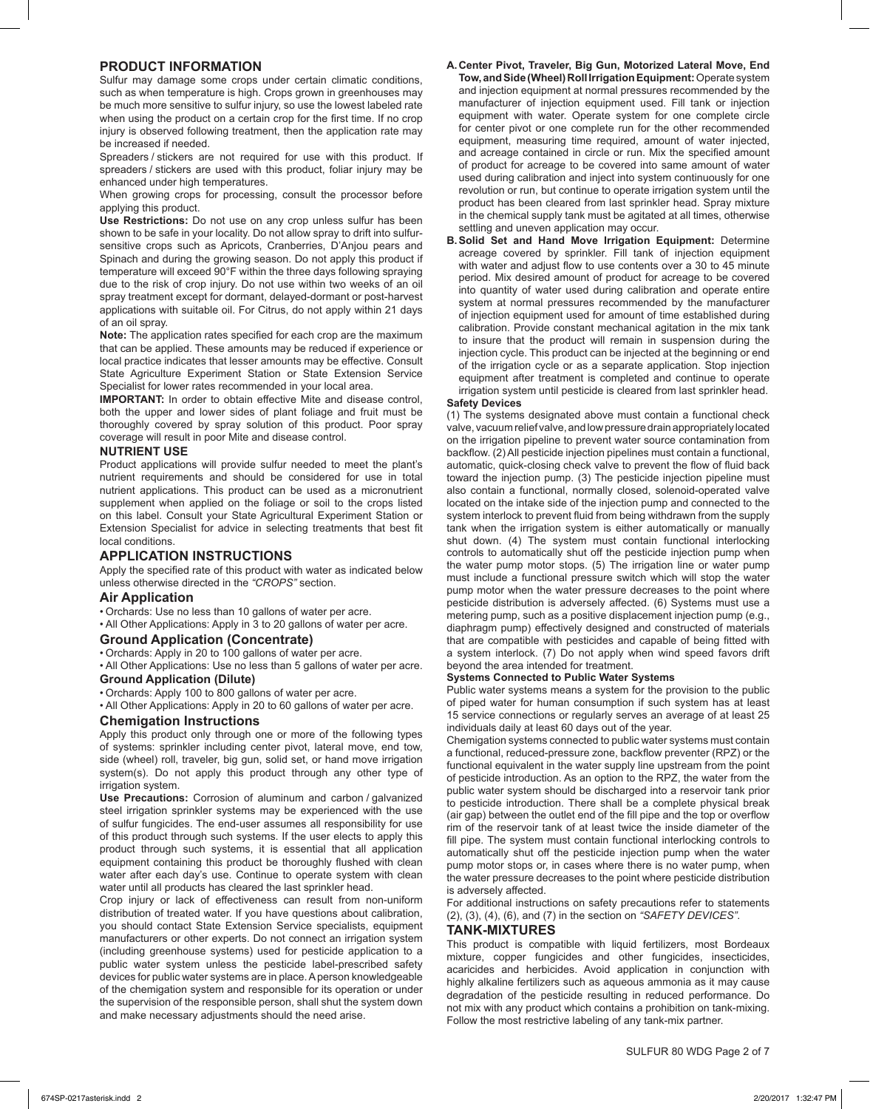### **PRODUCT INFORMATION**

Sulfur may damage some crops under certain climatic conditions, such as when temperature is high. Crops grown in greenhouses may be much more sensitive to sulfur injury, so use the lowest labeled rate when using the product on a certain crop for the first time. If no crop injury is observed following treatment, then the application rate may be increased if needed.

Spreaders / stickers are not required for use with this product. If spreaders / stickers are used with this product, foliar injury may be enhanced under high temperatures.

When growing crops for processing, consult the processor before applying this product.

**Use Restrictions:** Do not use on any crop unless sulfur has been shown to be safe in your locality. Do not allow spray to drift into sulfursensitive crops such as Apricots, Cranberries, D'Anjou pears and Spinach and during the growing season. Do not apply this product if temperature will exceed 90°F within the three days following spraying due to the risk of crop injury. Do not use within two weeks of an oil spray treatment except for dormant, delayed-dormant or post-harvest applications with suitable oil. For Citrus, do not apply within 21 days of an oil spray.

**Note:** The application rates specified for each crop are the maximum that can be applied. These amounts may be reduced if experience or local practice indicates that lesser amounts may be effective. Consult State Agriculture Experiment Station or State Extension Service Specialist for lower rates recommended in your local area.

**IMPORTANT:** In order to obtain effective Mite and disease control, both the upper and lower sides of plant foliage and fruit must be thoroughly covered by spray solution of this product. Poor spray coverage will result in poor Mite and disease control.

### **NUTRIENT USE**

Product applications will provide sulfur needed to meet the plant's nutrient requirements and should be considered for use in total nutrient applications. This product can be used as a micronutrient supplement when applied on the foliage or soil to the crops listed on this label. Consult your State Agricultural Experiment Station or Extension Specialist for advice in selecting treatments that best fit local conditions.

### **APPLICATION INSTRUCTIONS**

Apply the specified rate of this product with water as indicated below unless otherwise directed in the *"CROPS"* section.

### **Air Application**

• Orchards: Use no less than 10 gallons of water per acre.

• All Other Applications: Apply in 3 to 20 gallons of water per acre.

### **Ground Application (Concentrate)**

• Orchards: Apply in 20 to 100 gallons of water per acre.

• All Other Applications: Use no less than 5 gallons of water per acre. **Ground Application (Dilute)**

• Orchards: Apply 100 to 800 gallons of water per acre.

• All Other Applications: Apply in 20 to 60 gallons of water per acre.

# **Chemigation Instructions**

Apply this product only through one or more of the following types of systems: sprinkler including center pivot, lateral move, end tow, side (wheel) roll, traveler, big gun, solid set, or hand move irrigation system(s). Do not apply this product through any other type of irrigation system.

**Use Precautions:** Corrosion of aluminum and carbon / galvanized steel irrigation sprinkler systems may be experienced with the use of sulfur fungicides. The end-user assumes all responsibility for use of this product through such systems. If the user elects to apply this product through such systems, it is essential that all application equipment containing this product be thoroughly flushed with clean water after each day's use. Continue to operate system with clean water until all products has cleared the last sprinkler head.

Crop injury or lack of effectiveness can result from non-uniform distribution of treated water. If you have questions about calibration, you should contact State Extension Service specialists, equipment manufacturers or other experts. Do not connect an irrigation system (including greenhouse systems) used for pesticide application to a public water system unless the pesticide label-prescribed safety devices for public water systems are in place. A person knowledgeable of the chemigation system and responsible for its operation or under the supervision of the responsible person, shall shut the system down and make necessary adjustments should the need arise.

### **A.Center Pivot, Traveler, Big Gun, Motorized Lateral Move, End Tow, and Side (Wheel) Roll Irrigation Equipment:** Operate system and injection equipment at normal pressures recommended by the manufacturer of injection equipment used. Fill tank or injection equipment with water. Operate system for one complete circle for center pivot or one complete run for the other recommended equipment, measuring time required, amount of water injected, and acreage contained in circle or run. Mix the specified amount of product for acreage to be covered into same amount of water used during calibration and inject into system continuously for one revolution or run, but continue to operate irrigation system until the product has been cleared from last sprinkler head. Spray mixture in the chemical supply tank must be agitated at all times, otherwise settling and uneven application may occur.

**B.Solid Set and Hand Move Irrigation Equipment:** Determine acreage covered by sprinkler. Fill tank of injection equipment with water and adjust flow to use contents over a 30 to 45 minute period. Mix desired amount of product for acreage to be covered into quantity of water used during calibration and operate entire system at normal pressures recommended by the manufacturer of injection equipment used for amount of time established during calibration. Provide constant mechanical agitation in the mix tank to insure that the product will remain in suspension during the injection cycle. This product can be injected at the beginning or end of the irrigation cycle or as a separate application. Stop injection equipment after treatment is completed and continue to operate irrigation system until pesticide is cleared from last sprinkler head.

### **Safety Devices**

(1) The systems designated above must contain a functional check valve, vacuum relief valve, and low pressure drain appropriately located on the irrigation pipeline to prevent water source contamination from backflow. (2) All pesticide injection pipelines must contain a functional, automatic, quick-closing check valve to prevent the flow of fluid back toward the injection pump. (3) The pesticide injection pipeline must also contain a functional, normally closed, solenoid-operated valve located on the intake side of the injection pump and connected to the system interlock to prevent fluid from being withdrawn from the supply tank when the irrigation system is either automatically or manually shut down. (4) The system must contain functional interlocking controls to automatically shut off the pesticide injection pump when the water pump motor stops. (5) The irrigation line or water pump must include a functional pressure switch which will stop the water pump motor when the water pressure decreases to the point where pesticide distribution is adversely affected. (6) Systems must use a metering pump, such as a positive displacement injection pump (e.g., diaphragm pump) effectively designed and constructed of materials that are compatible with pesticides and capable of being fitted with a system interlock. (7) Do not apply when wind speed favors drift beyond the area intended for treatment.

### **Systems Connected to Public Water Systems**

Public water systems means a system for the provision to the public of piped water for human consumption if such system has at least 15 service connections or regularly serves an average of at least 25 individuals daily at least 60 days out of the year.

Chemigation systems connected to public water systems must contain a functional, reduced-pressure zone, backflow preventer (RPZ) or the functional equivalent in the water supply line upstream from the point of pesticide introduction. As an option to the RPZ, the water from the public water system should be discharged into a reservoir tank prior to pesticide introduction. There shall be a complete physical break (air gap) between the outlet end of the fill pipe and the top or overflow rim of the reservoir tank of at least twice the inside diameter of the fill pipe. The system must contain functional interlocking controls to automatically shut off the pesticide injection pump when the water pump motor stops or, in cases where there is no water pump, when the water pressure decreases to the point where pesticide distribution is adversely affected.

For additional instructions on safety precautions refer to statements (2), (3), (4), (6), and (7) in the section on *"SAFETY DEVICES"*.

### **TANK-MIXTURES**

This product is compatible with liquid fertilizers, most Bordeaux mixture, copper fungicides and other fungicides, insecticides, acaricides and herbicides. Avoid application in conjunction with highly alkaline fertilizers such as aqueous ammonia as it may cause degradation of the pesticide resulting in reduced performance. Do not mix with any product which contains a prohibition on tank-mixing. Follow the most restrictive labeling of any tank-mix partner.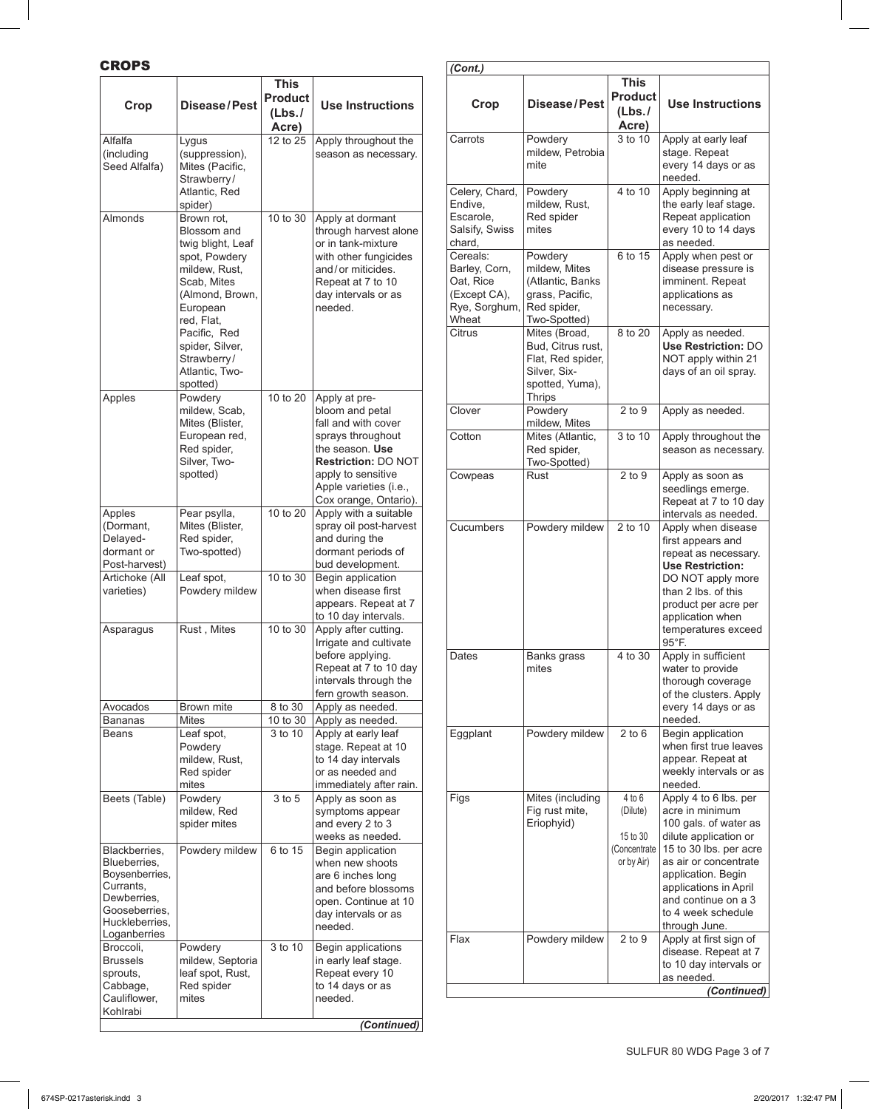# **CROPS**

|                               |                             | This           |                                            |
|-------------------------------|-----------------------------|----------------|--------------------------------------------|
| Crop                          | Disease/Pest                | <b>Product</b> | <b>Use Instructions</b>                    |
|                               |                             | (Lbs.1)        |                                            |
|                               |                             | Acre)          |                                            |
| Alfalfa                       | Lygus                       | 12 to 25       | Apply throughout the                       |
| (including                    | (suppression),              |                | season as necessary.                       |
| Seed Alfalfa)                 | Mites (Pacific,             |                |                                            |
|                               | Strawberry/                 |                |                                            |
|                               | Atlantic, Red               |                |                                            |
|                               | spider)                     |                |                                            |
| Almonds                       | Brown rot.<br>Blossom and   | 10 to 30       | Apply at dormant<br>through harvest alone  |
|                               | twig blight, Leaf           |                | or in tank-mixture                         |
|                               | spot, Powdery               |                | with other fungicides                      |
|                               | mildew, Rust,               |                | and/or miticides.                          |
|                               | Scab, Mites                 |                | Repeat at 7 to 10                          |
|                               | (Almond, Brown,             |                | day intervals or as                        |
|                               | European                    |                | needed.                                    |
|                               | red, Flat,                  |                |                                            |
|                               | Pacific, Red                |                |                                            |
|                               | spider, Silver,             |                |                                            |
|                               | Strawberry/                 |                |                                            |
|                               | Atlantic, Two-              |                |                                            |
|                               | spotted)                    |                |                                            |
| Apples                        | Powdery<br>mildew, Scab,    | 10 to 20       | Apply at pre-<br>bloom and petal           |
|                               | Mites (Blister,             |                | fall and with cover                        |
|                               | European red,               |                | sprays throughout                          |
|                               | Red spider,                 |                | the season. Use                            |
|                               | Silver. Two-                |                | <b>Restriction: DO NOT</b>                 |
|                               | spotted)                    |                | apply to sensitive                         |
|                               |                             |                | Apple varieties (i.e.,                     |
|                               |                             |                | Cox orange, Ontario).                      |
| Apples                        | Pear psylla,                | 10 to 20       | Apply with a suitable                      |
| (Dormant,                     | Mites (Blister,             |                | spray oil post-harvest                     |
| Delayed-                      | Red spider,                 |                | and during the                             |
| dormant or<br>Post-harvest)   | Two-spotted)                |                | dormant periods of<br>bud development.     |
| Artichoke (All                | Leaf spot,                  | 10 to 30       | Begin application                          |
| varieties)                    | Powdery mildew              |                | when disease first                         |
|                               |                             |                | appears. Repeat at 7                       |
|                               |                             |                | to 10 day intervals.                       |
| Asparagus                     | Rust, Mites                 | 10 to 30       | Apply after cutting.                       |
|                               |                             |                | Irrigate and cultivate                     |
|                               |                             |                | before applying.                           |
|                               |                             |                | Repeat at 7 to 10 day                      |
|                               |                             |                | intervals through the                      |
| Avocados                      | Brown mite                  | 8 to 30        | fern growth season.<br>Apply as needed.    |
| Bananas                       | Mites                       | 10 to 30       | Apply as needed.                           |
| Beans                         | Leaf spot,                  | 3 to 10        | Apply at early leaf                        |
|                               | Powdery                     |                | stage. Repeat at 10                        |
|                               | mildew, Rust,               |                | to 14 day intervals                        |
|                               | Red spider                  |                | or as needed and                           |
|                               | mites                       |                | immediately after rain.                    |
| Beets (Table)                 | Powdery                     | 3 to 5         | Apply as soon as                           |
|                               | mildew, Red                 |                | symptoms appear                            |
|                               | spider mites                |                | and every 2 to 3                           |
|                               |                             |                | weeks as needed.                           |
| Blackberries,<br>Blueberries, | Powdery mildew              | 6 to 15        | Begin application                          |
| Boysenberries,                |                             |                | when new shoots<br>are 6 inches long       |
| Currants,                     |                             |                | and before blossoms                        |
| Dewberries,                   |                             |                | open. Continue at 10                       |
| Gooseberries,                 |                             |                | day intervals or as                        |
| Huckleberries,                |                             |                | needed.                                    |
| Loganberries                  |                             |                |                                            |
| Broccoli,<br><b>Brussels</b>  | Powdery<br>mildew, Septoria | 3 to 10        | Begin applications<br>in early leaf stage. |
| sprouts,                      | leaf spot, Rust,            |                | Repeat every 10                            |
| Cabbage,                      | Red spider                  |                | to 14 days or as                           |
| Cauliflower,                  | mites                       |                | needed.                                    |
| Kohlrabi                      |                             |                |                                            |
|                               |                             |                | (Continued)                                |

| (Cont.)                                                                          |                                                                                                      |                                                              |                                                                                                                                                                                                                                                            |
|----------------------------------------------------------------------------------|------------------------------------------------------------------------------------------------------|--------------------------------------------------------------|------------------------------------------------------------------------------------------------------------------------------------------------------------------------------------------------------------------------------------------------------------|
| Crop                                                                             | <b>Disease/Pest</b>                                                                                  | <b>This</b><br><b>Product</b><br>(Lbs.1)<br>Acre)            | <b>Use Instructions</b>                                                                                                                                                                                                                                    |
| Carrots                                                                          | Powdery<br>mildew, Petrobia<br>mite                                                                  | 3 to 10                                                      | Apply at early leaf<br>stage. Repeat<br>every 14 days or as<br>needed.                                                                                                                                                                                     |
| Celery, Chard,<br>Endive,<br>Escarole,<br>Salsify, Swiss<br>chard.               | Powdery<br>mildew, Rust,<br>Red spider<br>mites                                                      | 4 to 10                                                      | Apply beginning at<br>the early leaf stage.<br>Repeat application<br>every 10 to 14 days<br>as needed.                                                                                                                                                     |
| Cereals:<br>Barley, Corn,<br>Oat, Rice<br>(Except CA),<br>Rye, Sorghum,<br>Wheat | Powdery<br>mildew, Mites<br>(Atlantic, Banks<br>grass, Pacific,<br>Red spider,<br>Two-Spotted)       | 6 to 15                                                      | Apply when pest or<br>disease pressure is<br>imminent. Repeat<br>applications as<br>necessary.                                                                                                                                                             |
| Citrus                                                                           | Mites (Broad,<br>Bud, Citrus rust,<br>Flat, Red spider,<br>Silver, Six-<br>spotted, Yuma),<br>Thrips | 8 to 20                                                      | Apply as needed.<br>Use Restriction: DO<br>NOT apply within 21<br>days of an oil spray.                                                                                                                                                                    |
| Clover                                                                           | Powdery<br>mildew, Mites                                                                             | $2$ to $9$                                                   | Apply as needed.                                                                                                                                                                                                                                           |
| Cotton                                                                           | Mites (Atlantic,<br>Red spider,<br>Two-Spotted)                                                      | 3 to 10                                                      | Apply throughout the<br>season as necessary.                                                                                                                                                                                                               |
| Cowpeas                                                                          | Rust                                                                                                 | $2$ to $9$                                                   | Apply as soon as<br>seedlings emerge.<br>Repeat at 7 to 10 day<br>intervals as needed.                                                                                                                                                                     |
| Cucumbers                                                                        | Powdery mildew                                                                                       | 2 to 10                                                      | Apply when disease<br>first appears and<br>repeat as necessary.<br><b>Use Restriction:</b><br>DO NOT apply more<br>than 2 lbs. of this<br>product per acre per<br>application when<br>temperatures exceed<br>95°F.                                         |
| Dates                                                                            | Banks grass<br>mites                                                                                 | 4 to 30                                                      | Apply in sufficient<br>water to provide<br>thorough coverage<br>of the clusters. Apply<br>every 14 days or as<br>needed.                                                                                                                                   |
| Eggplant                                                                         | Powdery mildew                                                                                       | $2$ to 6                                                     | <b>Begin application</b><br>when first true leaves<br>appear. Repeat at<br>weekly intervals or as<br>needed.                                                                                                                                               |
| Figs                                                                             | Mites (including<br>Fig rust mite,<br>Eriophyid)                                                     | 4 to 6<br>(Dilute)<br>15 to 30<br>(Concentrate<br>or by Air) | Apply 4 to 6 lbs. per<br>acre in minimum<br>100 gals. of water as<br>dilute application or<br>15 to 30 lbs. per acre<br>as air or concentrate<br>application. Begin<br>applications in April<br>and continue on a 3<br>to 4 week schedule<br>through June. |
| Flax                                                                             | Powdery mildew                                                                                       | $2$ to $9$                                                   | Apply at first sign of<br>disease. Repeat at 7<br>to 10 day intervals or<br>as needed.                                                                                                                                                                     |
|                                                                                  |                                                                                                      |                                                              | (Continued)                                                                                                                                                                                                                                                |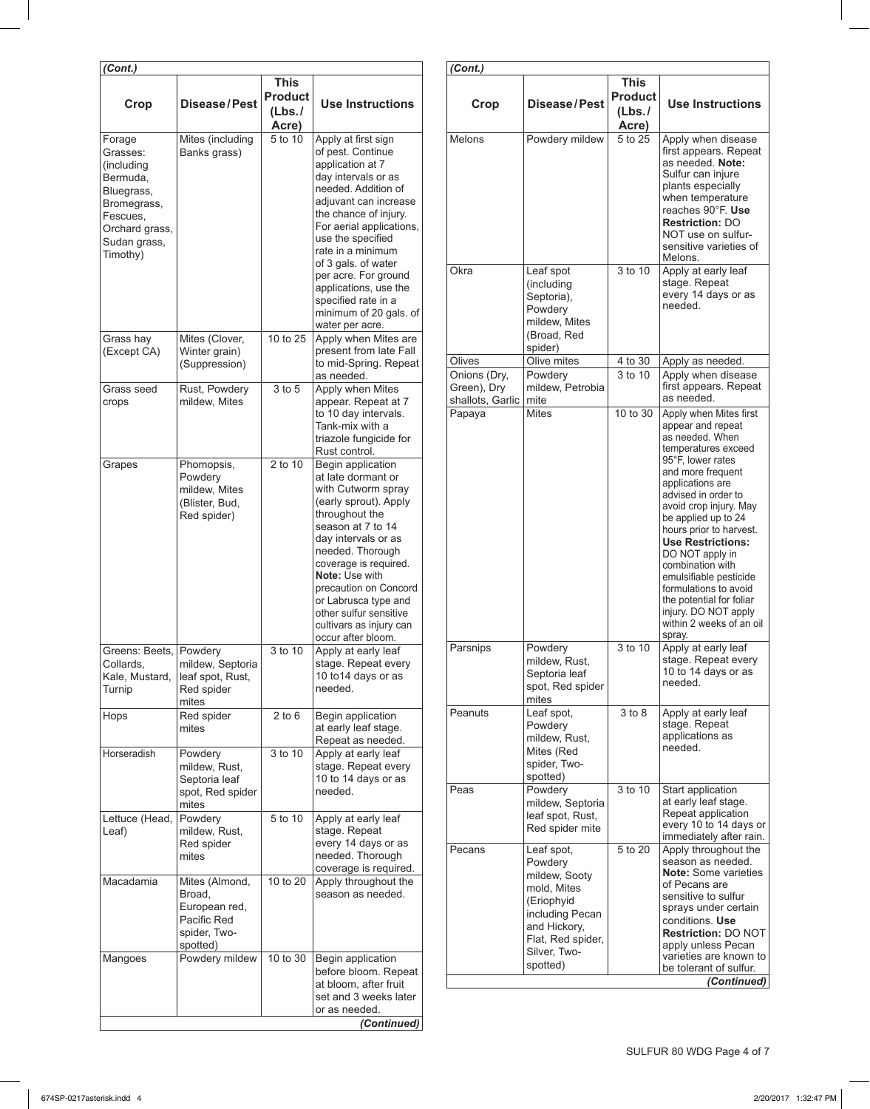| (Cont.)                                                                                                                             |                                                                                      |                                          |                                                                                                                                                                                                                                                                                                                                                                                |
|-------------------------------------------------------------------------------------------------------------------------------------|--------------------------------------------------------------------------------------|------------------------------------------|--------------------------------------------------------------------------------------------------------------------------------------------------------------------------------------------------------------------------------------------------------------------------------------------------------------------------------------------------------------------------------|
| Crop                                                                                                                                | Disease/Pest                                                                         | <b>This</b><br><b>Product</b><br>(Lbs.1) | <b>Use Instructions</b>                                                                                                                                                                                                                                                                                                                                                        |
| Forage<br>Grasses:<br>(including<br>Bermuda,<br>Bluegrass,<br>Bromegrass,<br>Fescues,<br>Orchard grass,<br>Sudan grass,<br>Timothy) | Mites (including<br>Banks grass)                                                     | Acre)<br>5 to 10                         | Apply at first sign<br>of pest. Continue<br>application at 7<br>day intervals or as<br>needed. Addition of<br>adjuvant can increase<br>the chance of injury.<br>For aerial applications,<br>use the specified<br>rate in a minimum<br>of 3 gals. of water<br>per acre. For ground<br>applications, use the<br>specified rate in a<br>minimum of 20 gals. of<br>water per acre. |
| Grass hay<br>(Except CA)                                                                                                            | Mites (Clover,<br>Winter grain)<br>(Suppression)                                     | 10 to 25                                 | Apply when Mites are<br>present from late Fall<br>to mid-Spring. Repeat<br>as needed.                                                                                                                                                                                                                                                                                          |
| Grass seed<br>crops                                                                                                                 | Rust, Powdery<br>mildew, Mites                                                       | 3 to 5                                   | Apply when Mites<br>appear. Repeat at 7<br>to 10 day intervals.<br>Tank-mix with a<br>triazole fungicide for<br>Rust control.                                                                                                                                                                                                                                                  |
| Grapes                                                                                                                              | Phomopsis,<br>Powdery<br>mildew, Mites<br>(Blister, Bud,<br>Red spider)              | 2 to 10                                  | Begin application<br>at late dormant or<br>with Cutworm spray<br>(early sprout). Apply<br>throughout the<br>season at 7 to 14<br>day intervals or as<br>needed. Thorough<br>coverage is required.<br>Note: Use with<br>precaution on Concord<br>or Labrusca type and<br>other sulfur sensitive<br>cultivars as injury can<br>occur after bloom.                                |
| Greens: Beets. Powdery<br>Collards,<br>Kale, Mustard,<br>Turnip                                                                     | mildew, Septoria<br>leaf spot, Rust,<br>Red spider<br>mites                          | 3 to 10                                  | Apply at early leaf<br>stage. Repeat every<br>10 to 14 days or as<br>needed.                                                                                                                                                                                                                                                                                                   |
| Hops                                                                                                                                | Red spider<br>mites                                                                  | $2$ to $6$                               | Begin application<br>at early leaf stage.<br>Repeat as needed.                                                                                                                                                                                                                                                                                                                 |
| Horseradish                                                                                                                         | Powdery<br>mildew, Rust,<br>Septoria leaf<br>spot, Red spider<br>mites               | 3 to 10                                  | Apply at early leaf<br>stage. Repeat every<br>10 to 14 days or as<br>needed.                                                                                                                                                                                                                                                                                                   |
| Lettuce (Head,<br>Leaf)                                                                                                             | Powdery<br>mildew, Rust,<br>Red spider<br>mites                                      | $5$ to $10$                              | Apply at early leaf<br>stage. Repeat<br>every 14 days or as<br>needed. Thorough<br>coverage is required.                                                                                                                                                                                                                                                                       |
| Macadamia                                                                                                                           | Mites (Almond,<br>Broad,<br>European red,<br>Pacific Red<br>spider, Two-<br>spotted) | 10 to 20                                 | Apply throughout the<br>season as needed.                                                                                                                                                                                                                                                                                                                                      |
| Mangoes                                                                                                                             | Powdery mildew                                                                       | 10 to 30                                 | Begin application<br>before bloom. Repeat<br>at bloom, after fruit<br>set and 3 weeks later<br>or as needed.<br>(Continued)                                                                                                                                                                                                                                                    |

|                                                 | (Cont.)                                                                                                                                                 |                                                   |                                                                                                                                                                                                                                                                                                                                                                                                                                                                        |  |
|-------------------------------------------------|---------------------------------------------------------------------------------------------------------------------------------------------------------|---------------------------------------------------|------------------------------------------------------------------------------------------------------------------------------------------------------------------------------------------------------------------------------------------------------------------------------------------------------------------------------------------------------------------------------------------------------------------------------------------------------------------------|--|
| Crop                                            | Disease/Pest                                                                                                                                            | <b>This</b><br><b>Product</b><br>(Lbs.1)<br>Acre) | <b>Use Instructions</b>                                                                                                                                                                                                                                                                                                                                                                                                                                                |  |
| Melons                                          | Powdery mildew                                                                                                                                          | 5 to 25                                           | Apply when disease<br>first appears. Repeat<br>as needed. Note:<br>Sulfur can injure<br>plants especially<br>when temperature<br>reaches 90°F. Use<br><b>Restriction: DO</b><br>NOT use on sulfur-<br>sensitive varieties of<br>Melons.                                                                                                                                                                                                                                |  |
| Okra                                            | Leaf spot<br>(including<br>Septoria),<br>Powdery<br>mildew, Mites<br>(Broad, Red<br>spider)                                                             | 3 to 10                                           | Apply at early leaf<br>stage. Repeat<br>every 14 days or as<br>needed.                                                                                                                                                                                                                                                                                                                                                                                                 |  |
| Olives                                          | Olive mites                                                                                                                                             | 4 to 30                                           | Apply as needed.                                                                                                                                                                                                                                                                                                                                                                                                                                                       |  |
| Onions (Dry,<br>Green), Dry<br>shallots, Garlic | Powdery<br>mildew, Petrobia<br>mite                                                                                                                     | $3$ to $10$                                       | Apply when disease<br>first appears. Repeat<br>as needed.                                                                                                                                                                                                                                                                                                                                                                                                              |  |
| Papaya                                          | <b>Mites</b>                                                                                                                                            | 10 to 30                                          | Apply when Mites first<br>appear and repeat<br>as needed. When<br>temperatures exceed<br>95°F, lower rates<br>and more frequent<br>applications are<br>advised in order to<br>avoid crop injury. May<br>be applied up to 24<br>hours prior to harvest.<br><b>Use Restrictions:</b><br>DO NOT apply in<br>combination with<br>emulsifiable pesticide<br>formulations to avoid<br>the potential for foliar<br>injury. DO NOT apply<br>within 2 weeks of an oil<br>spray. |  |
| Parsnips                                        | Powdery<br>mildew, Rust,<br>Septoria leaf<br>spot, Red spider<br>mites                                                                                  | 3 to 10                                           | Apply at early leaf<br>stage. Repeat every<br>10 to 14 days or as<br>needed.                                                                                                                                                                                                                                                                                                                                                                                           |  |
| Peanuts                                         | Leaf spot,<br>Powdery<br>mildew, Rust,<br>Mites (Red<br>spider, Two-<br>spotted)                                                                        | $3$ to $8$                                        | Apply at early leaf<br>stage. Repeat<br>applications as<br>needed.                                                                                                                                                                                                                                                                                                                                                                                                     |  |
| Peas                                            | Powdery<br>mildew, Septoria<br>leaf spot, Rust,<br>Red spider mite                                                                                      | 3 to 10                                           | Start application<br>at early leaf stage.<br>Repeat application<br>every 10 to 14 days or<br>immediately after rain.                                                                                                                                                                                                                                                                                                                                                   |  |
| Pecans                                          | Leaf spot,<br>Powdery<br>mildew, Sooty<br>mold, Mites<br>(Eriophyid<br>including Pecan<br>and Hickory,<br>Flat, Red spider,<br>Silver, Two-<br>spotted) | 5 to 20                                           | Apply throughout the<br>season as needed.<br><b>Note:</b> Some varieties<br>of Pecans are<br>sensitive to sulfur<br>sprays under certain<br>conditions. Use<br><b>Restriction: DO NOT</b><br>apply unless Pecan<br>varieties are known to<br>be tolerant of sulfur.<br>(Continued)                                                                                                                                                                                     |  |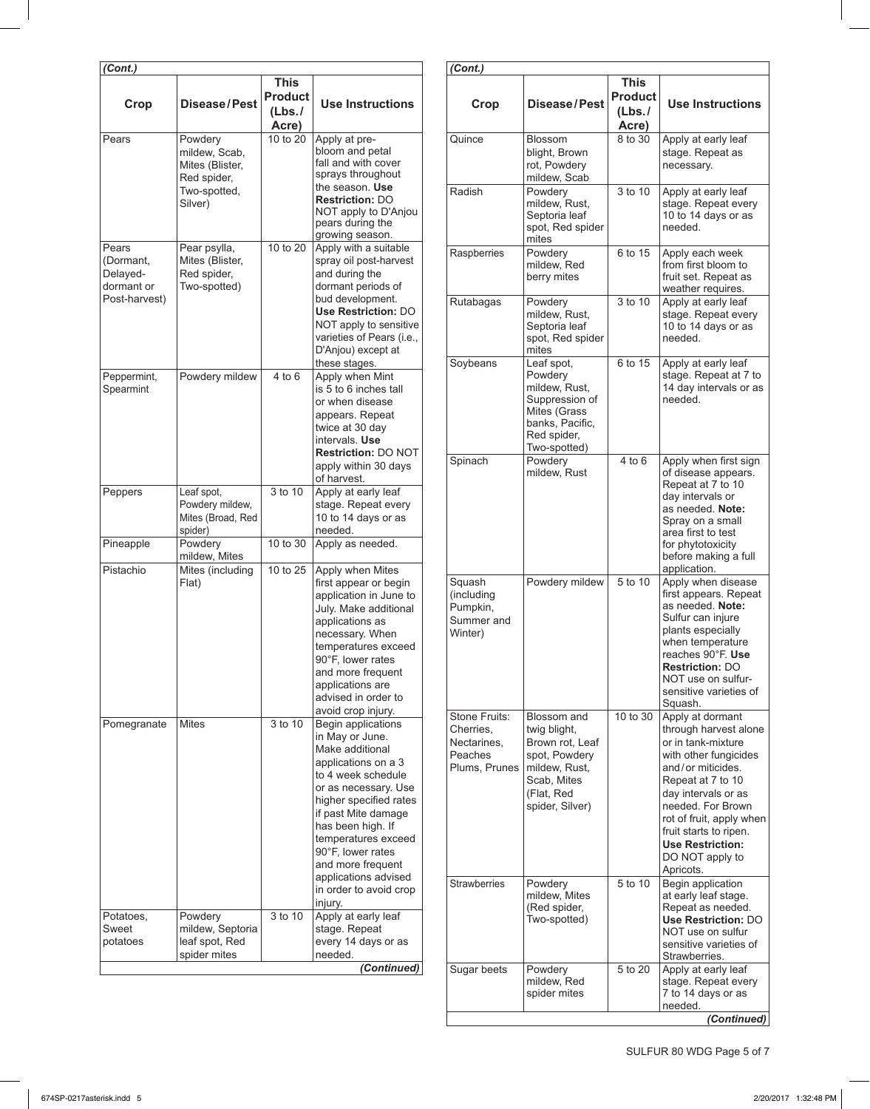| (Cont.)                                                       |                                                                                       |                                                   |                                                                                                                                                                                                                                                                                                                                          |  |
|---------------------------------------------------------------|---------------------------------------------------------------------------------------|---------------------------------------------------|------------------------------------------------------------------------------------------------------------------------------------------------------------------------------------------------------------------------------------------------------------------------------------------------------------------------------------------|--|
| Crop                                                          | Disease/Pest                                                                          | <b>This</b><br><b>Product</b><br>(Lbs.1)<br>Acre) | <b>Use Instructions</b>                                                                                                                                                                                                                                                                                                                  |  |
| Pears                                                         | Powdery<br>mildew, Scab,<br>Mites (Blister,<br>Red spider,<br>Two-spotted,<br>Silver) | 10 to 20                                          | Apply at pre-<br>bloom and petal<br>fall and with cover<br>sprays throughout<br>the season. Use<br><b>Restriction: DO</b><br>NOT apply to D'Anjou<br>pears during the<br>growing season.                                                                                                                                                 |  |
| Pears<br>(Dormant,<br>Delayed-<br>dormant or<br>Post-harvest) | Pear psylla,<br>Mites (Blister,<br>Red spider,<br>Two-spotted)                        | 10 to 20                                          | Apply with a suitable<br>spray oil post-harvest<br>and during the<br>dormant periods of<br>bud development.<br>Use Restriction: DO<br>NOT apply to sensitive<br>varieties of Pears (i.e.,<br>D'Anjou) except at<br>these stages.                                                                                                         |  |
| Peppermint,<br>Spearmint                                      | Powdery mildew                                                                        | $4$ to $6$                                        | Apply when Mint<br>is 5 to 6 inches tall<br>or when disease<br>appears. Repeat<br>twice at 30 day<br>intervals. Use<br><b>Restriction: DO NOT</b><br>apply within 30 days<br>of harvest.                                                                                                                                                 |  |
| Peppers                                                       | Leaf spot,<br>Powdery mildew,<br>Mites (Broad, Red<br>spider)                         | 3 to 10                                           | Apply at early leaf<br>stage. Repeat every<br>10 to 14 days or as<br>needed.                                                                                                                                                                                                                                                             |  |
| Pineapple                                                     | Powdery<br>mildew, Mites                                                              | 10 to 30                                          | Apply as needed.                                                                                                                                                                                                                                                                                                                         |  |
| Pistachio                                                     | Mites (including<br>Flat)                                                             | 10 to 25                                          | Apply when Mites<br>first appear or begin<br>application in June to<br>July. Make additional<br>applications as<br>necessary. When<br>temperatures exceed<br>90°F, lower rates<br>and more frequent<br>applications are<br>advised in order to<br>avoid crop injury.                                                                     |  |
| Pomegranate                                                   | Mites                                                                                 | 3 to 10                                           | <b>Begin applications</b><br>in May or June.<br>Make additional<br>applications on a 3<br>to 4 week schedule<br>or as necessary. Use<br>higher specified rates<br>if past Mite damage<br>has been high. If<br>temperatures exceed<br>90°F, lower rates<br>and more frequent<br>applications advised<br>in order to avoid crop<br>injury. |  |
| Potatoes,<br>Sweet<br>potatoes                                | Powdery<br>mildew, Septoria<br>leaf spot, Red<br>spider mites                         | 3 to 10                                           | Apply at early leaf<br>stage. Repeat<br>every 14 days or as<br>needed.<br>(Continued)                                                                                                                                                                                                                                                    |  |

| (Cont.)                                                               |                                                                                                                                  |                                                   |                                                                                                                                                                                                                                                                                                 |  |
|-----------------------------------------------------------------------|----------------------------------------------------------------------------------------------------------------------------------|---------------------------------------------------|-------------------------------------------------------------------------------------------------------------------------------------------------------------------------------------------------------------------------------------------------------------------------------------------------|--|
| Crop                                                                  | Disease/Pest                                                                                                                     | <b>This</b><br><b>Product</b><br>(Lbs.1)<br>Acre) | <b>Use Instructions</b>                                                                                                                                                                                                                                                                         |  |
| Quince                                                                | <b>Blossom</b><br>blight, Brown<br>rot, Powdery<br>mildew, Scab                                                                  | 8 to 30                                           | Apply at early leaf<br>stage. Repeat as<br>necessary.                                                                                                                                                                                                                                           |  |
| Radish                                                                | Powderv<br>mildew, Rust,<br>Septoria leaf<br>spot, Red spider<br>mites                                                           | 3 to 10                                           | Apply at early leaf<br>stage. Repeat every<br>10 to 14 days or as<br>needed.                                                                                                                                                                                                                    |  |
| Raspberries                                                           | Powdery<br>mildew, Red<br>berry mites                                                                                            | 6 to 15                                           | Apply each week<br>from first bloom to<br>fruit set. Repeat as<br>weather requires.                                                                                                                                                                                                             |  |
| Rutabagas                                                             | Powdery<br>mildew, Rust,<br>Septoria leaf<br>spot, Red spider<br>mites                                                           | 3 to 10                                           | Apply at early leaf<br>stage. Repeat every<br>10 to 14 days or as<br>needed.                                                                                                                                                                                                                    |  |
| Soybeans                                                              | Leaf spot,<br>Powdery<br>mildew, Rust,<br>Suppression of<br>Mites (Grass<br>banks, Pacific,<br>Red spider,<br>Two-spotted)       | 6 to 15                                           | Apply at early leaf<br>stage. Repeat at 7 to<br>14 day intervals or as<br>needed.                                                                                                                                                                                                               |  |
| Spinach                                                               | Powdery<br>mildew, Rust                                                                                                          | $4$ to $6$                                        | Apply when first sign<br>of disease appears.<br>Repeat at 7 to 10<br>day intervals or<br>as needed. Note:<br>Spray on a small<br>area first to test<br>for phytotoxicity<br>before making a full<br>application.                                                                                |  |
| Squash<br>(including<br>Pumpkin,<br>Summer and<br>Winter)             | Powdery mildew                                                                                                                   | 5 to 10                                           | Apply when disease<br>first appears. Repeat<br>as needed. Note:<br>Sulfur can injure<br>plants especially<br>when temperature<br>reaches 90°F. Use<br><b>Restriction: DO</b><br>NOT use on sulfur-<br>sensitive varieties of<br>Squash.                                                         |  |
| Stone Fruits:<br>Cherries,<br>Nectarines,<br>Peaches<br>Plums, Prunes | Blossom and<br>twig blight,<br>Brown rot, Leaf<br>spot, Powdery<br>mildew. Rust.<br>Scab, Mites<br>(Flat, Red<br>spider, Silver) | 10 to 30                                          | Apply at dormant<br>through harvest alone<br>or in tank-mixture<br>with other fungicides<br>and/or miticides.<br>Repeat at 7 to 10<br>day intervals or as<br>needed. For Brown<br>rot of fruit, apply when<br>fruit starts to ripen.<br><b>Use Restriction:</b><br>DO NOT apply to<br>Apricots. |  |
| <b>Strawberries</b>                                                   | Powdery<br>mildew, Mites<br>(Red spider,<br>Two-spotted)                                                                         | 5 to 10                                           | Begin application<br>at early leaf stage.<br>Repeat as needed.<br>Use Restriction: DO<br>NOT use on sulfur<br>sensitive varieties of<br>Strawberries.                                                                                                                                           |  |
| Sugar beets                                                           | Powdery<br>mildew, Red<br>spider mites                                                                                           | 5 to 20                                           | Apply at early leaf<br>stage. Repeat every<br>7 to 14 days or as<br>needed.                                                                                                                                                                                                                     |  |
|                                                                       |                                                                                                                                  |                                                   | (Continued)                                                                                                                                                                                                                                                                                     |  |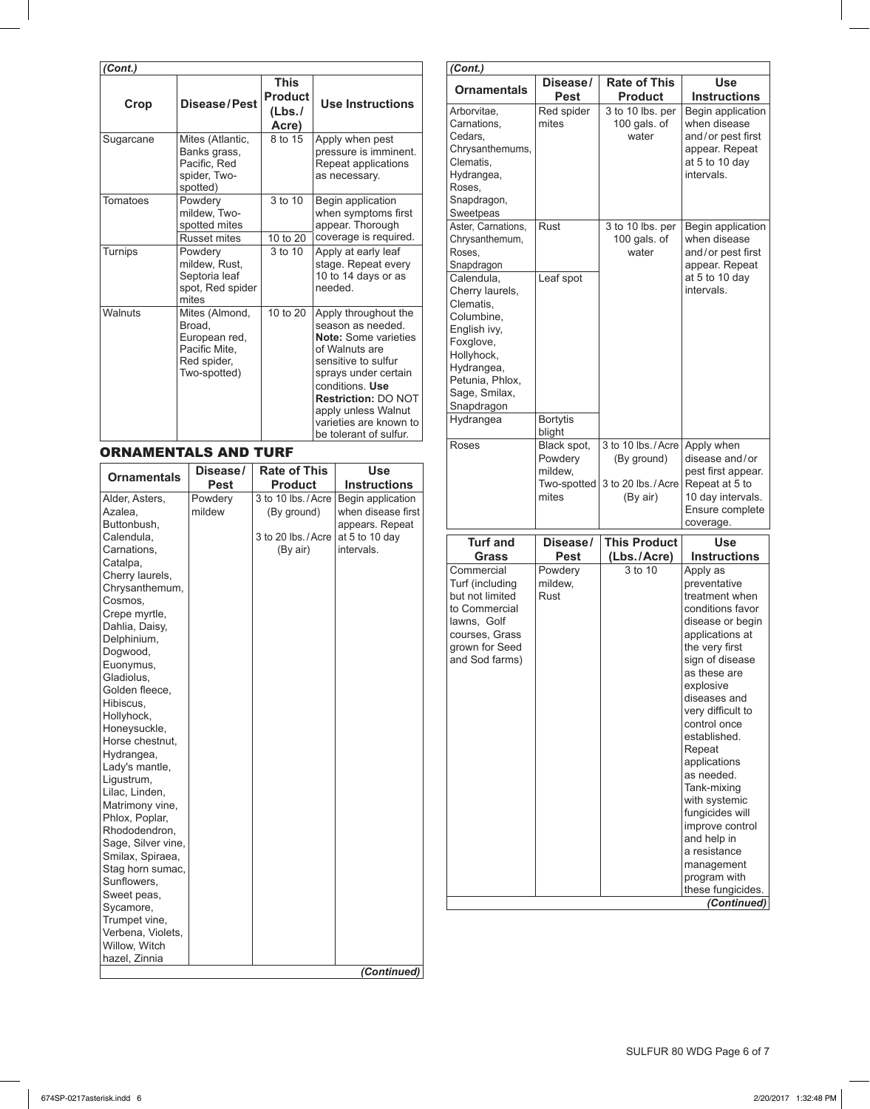| (Cont.)   |                                                                                           |                                                   |                                                                                                                                                                                                                                                                       |
|-----------|-------------------------------------------------------------------------------------------|---------------------------------------------------|-----------------------------------------------------------------------------------------------------------------------------------------------------------------------------------------------------------------------------------------------------------------------|
| Crop      | Disease/Pest                                                                              | <b>This</b><br><b>Product</b><br>(Lbs.1)<br>Acre) | <b>Use Instructions</b>                                                                                                                                                                                                                                               |
| Sugarcane | Mites (Atlantic,<br>Banks grass,<br>Pacific, Red<br>spider, Two-<br>spotted)              | 8 to 15                                           | Apply when pest<br>pressure is imminent.<br>Repeat applications<br>as necessary.                                                                                                                                                                                      |
| Tomatoes  | Powdery<br>mildew. Two-<br>spotted mites<br><b>Russet mites</b>                           | 3 to 10<br>10 to 20                               | Begin application<br>when symptoms first<br>appear. Thorough<br>coverage is required.                                                                                                                                                                                 |
| Turnips   | Powdery<br>mildew, Rust,<br>Septoria leaf<br>spot, Red spider<br>mites                    | 3 to 10                                           | Apply at early leaf<br>stage. Repeat every<br>10 to 14 days or as<br>needed                                                                                                                                                                                           |
| Walnuts   | Mites (Almond,<br>Broad.<br>European red,<br>Pacific Mite.<br>Red spider,<br>Two-spotted) | 10 to 20                                          | Apply throughout the<br>season as needed.<br><b>Note:</b> Some varieties<br>of Walnuts are<br>sensitive to sulfur<br>sprays under certain<br>conditions. Use<br><b>Restriction: DO NOT</b><br>apply unless Walnut<br>varieties are known to<br>be tolerant of sulfur. |

# ORNAMENTALS AND TURF

| <b>Ornamentals</b> | Disease/    | <b>Rate of This</b> | <b>Use</b>          |
|--------------------|-------------|---------------------|---------------------|
|                    | <b>Pest</b> | <b>Product</b>      | <b>Instructions</b> |
| Alder, Asters,     | Powdery     | 3 to 10 lbs./Acre   | Begin application   |
| Azalea,            | mildew      | (By ground)         | when disease first  |
| Buttonbush.        |             |                     | appears. Repeat     |
| Calendula,         |             | 3 to 20 lbs./Acre   | at 5 to 10 day      |
| Carnations.        |             | (By air)            | intervals.          |
| Catalpa,           |             |                     |                     |
| Cherry laurels,    |             |                     |                     |
| Chrysanthemum,     |             |                     |                     |
| Cosmos,            |             |                     |                     |
| Crepe myrtle,      |             |                     |                     |
| Dahlia, Daisy,     |             |                     |                     |
| Delphinium,        |             |                     |                     |
| Dogwood,           |             |                     |                     |
| Euonymus,          |             |                     |                     |
| Gladiolus,         |             |                     |                     |
| Golden fleece.     |             |                     |                     |
| Hibiscus,          |             |                     |                     |
| Hollyhock,         |             |                     |                     |
| Honeysuckle,       |             |                     |                     |
| Horse chestnut,    |             |                     |                     |
| Hydrangea,         |             |                     |                     |
| Lady's mantle,     |             |                     |                     |
| Ligustrum,         |             |                     |                     |
| Lilac, Linden,     |             |                     |                     |
| Matrimony vine,    |             |                     |                     |
| Phlox, Poplar,     |             |                     |                     |
| Rhododendron,      |             |                     |                     |
| Sage, Silver vine, |             |                     |                     |
| Smilax, Spiraea,   |             |                     |                     |
| Stag horn sumac,   |             |                     |                     |
| Sunflowers,        |             |                     |                     |
| Sweet peas,        |             |                     |                     |
| Sycamore,          |             |                     |                     |
| Trumpet vine,      |             |                     |                     |
| Verbena, Violets,  |             |                     |                     |
| Willow, Witch      |             |                     |                     |
| hazel, Zinnia      |             |                     |                     |
|                    |             |                     | (Continued)         |

| (Cont.)                                                                                                                                |                                                           |                                                                   |                                                                                                                                                                                                                                                                                                                                                                                           |
|----------------------------------------------------------------------------------------------------------------------------------------|-----------------------------------------------------------|-------------------------------------------------------------------|-------------------------------------------------------------------------------------------------------------------------------------------------------------------------------------------------------------------------------------------------------------------------------------------------------------------------------------------------------------------------------------------|
| Ornamentals                                                                                                                            | Disease/<br><b>Pest</b>                                   | <b>Rate of This</b><br><b>Product</b>                             | <b>Use</b><br><b>Instructions</b>                                                                                                                                                                                                                                                                                                                                                         |
| Arborvitae,<br>Carnations,<br>Cedars.<br>Chrysanthemums,<br>Clematis,<br>Hydrangea,<br>Roses,<br>Snapdragon,<br>Sweetpeas              | Red spider<br>mites                                       | 3 to 10 lbs. per<br>100 gals. of<br>water                         | Begin application<br>when disease<br>and/or pest first<br>appear. Repeat<br>at 5 to 10 day<br>intervals.                                                                                                                                                                                                                                                                                  |
| Aster, Carnations,<br>Chrysanthemum,<br>Roses,<br>Snapdragon<br>Calendula,<br>Cherry laurels,<br>Clematis,<br>Columbine,               | Rust<br>Leaf spot                                         | 3 to 10 lbs. per<br>100 gals. of<br>water                         | Begin application<br>when disease<br>and/or pest first<br>appear. Repeat<br>at 5 to 10 day<br>intervals.                                                                                                                                                                                                                                                                                  |
| English ivy,<br>Foxglove,<br>Hollyhock,<br>Hydrangea,<br>Petunia, Phlox,<br>Sage, Smilax,<br>Snapdragon<br>Hydrangea                   | <b>Bortytis</b>                                           |                                                                   |                                                                                                                                                                                                                                                                                                                                                                                           |
|                                                                                                                                        | blight                                                    |                                                                   |                                                                                                                                                                                                                                                                                                                                                                                           |
| Roses                                                                                                                                  | Black spot,<br>Powdery<br>mildew,<br>Two-spotted<br>mites | 3 to 10 lbs./Acre<br>(By ground)<br>3 to 20 lbs./Acre<br>(By air) | Apply when<br>disease and/or<br>pest first appear.<br>Repeat at 5 to<br>10 day intervals.<br>Ensure complete                                                                                                                                                                                                                                                                              |
|                                                                                                                                        |                                                           |                                                                   | coverage.                                                                                                                                                                                                                                                                                                                                                                                 |
| <b>Turf and</b><br>Grass                                                                                                               | Disease/<br>Pest                                          | <b>This Product</b><br>(Lbs./Acre)                                | <b>Use</b><br><b>Instructions</b>                                                                                                                                                                                                                                                                                                                                                         |
| Commercial<br>Turf (including<br>but not limited<br>to Commercial<br>lawns, Golf<br>courses, Grass<br>grown for Seed<br>and Sod farms) | Powdery<br>mildew,<br>Rust                                | 3 to 10                                                           | Apply as<br>preventative<br>treatment when<br>conditions favor<br>disease or begin<br>applications at<br>the very first<br>sign of disease<br>as these are<br>explosive<br>diseases and<br>very difficult to<br>control once<br>established.<br>Repeat<br>applications<br>as needed.<br>Tank-mixing<br>with systemic<br>fungicides will<br>improve control<br>and help in<br>a resistance |
|                                                                                                                                        |                                                           |                                                                   | management<br>program with<br>these fungicides.<br>(Continued)                                                                                                                                                                                                                                                                                                                            |